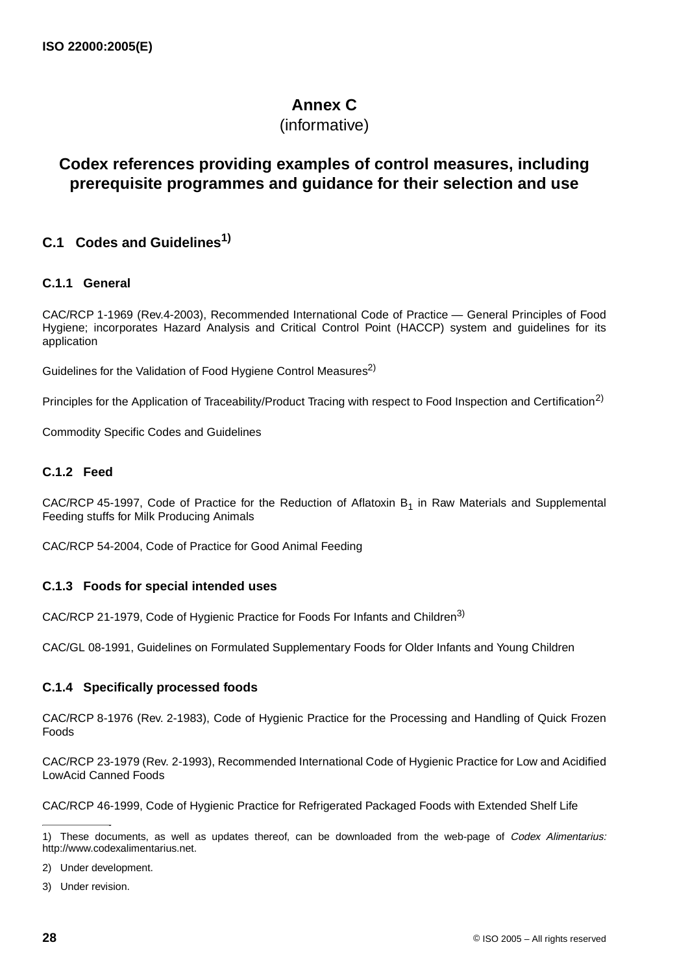## **Annex C**

## (informative)

# **Codex references providing examples of control measures, including prerequisite programmes and guidance for their selection and use**

## <span id="page-0-1"></span>**C.1 Codes and Guidelines1)**

## **C.1.1 General**

CAC/RCP 1-1969 (Rev.4-2003), Recommended International Code of Practice — General Principles of Food Hygiene; incorporates Hazard Analysis and Critical Control Point (HACCP) system and guidelines for its application

<span id="page-0-0"></span>Guidelines for the Validation of Food Hygiene Control Measures<sup>2)</sup>

Principles for the Application of Traceability/Product Tracing with respect to Food Inspection and Certification<sup>[2\)](#page-0-0)</sup>

Commodity Specific Codes and Guidelines

## **C.1.2 Feed**

CAC/RCP 45-1997, Code of Practice for the Reduction of Aflatoxin  $B_1$  in Raw Materials and Supplemental Feeding stuffs for Milk Producing Animals

CAC/RCP 54-2004, Code of Practice for Good Animal Feeding

## **C.1.3 Foods for special intended uses**

CAC/RCP 21-1979, Code of Hygienic Practice for Foods For Infants and Children<sup>3)</sup>

CAC/GL 08-1991, Guidelines on Formulated Supplementary Foods for Older Infants and Young Children

## **C.1.4 Specifically processed foods**

CAC/RCP 8-1976 (Rev. 2-1983), Code of Hygienic Practice for the Processing and Handling of Quick Frozen Foods

CAC/RCP 23-1979 (Rev. 2-1993), Recommended International Code of Hygienic Practice for Low and Acidified LowAcid Canned Foods

CAC/RCP 46-1999, Code of Hygienic Practice for Refrigerated Packaged Foods with Extended Shelf Life

2) Under development.

3) Under revision.

<sup>1)</sup> These documents, as well as updates thereof, can be downloaded from the web-page of Codex Alimentarius: http://www.codexalimentarius.net.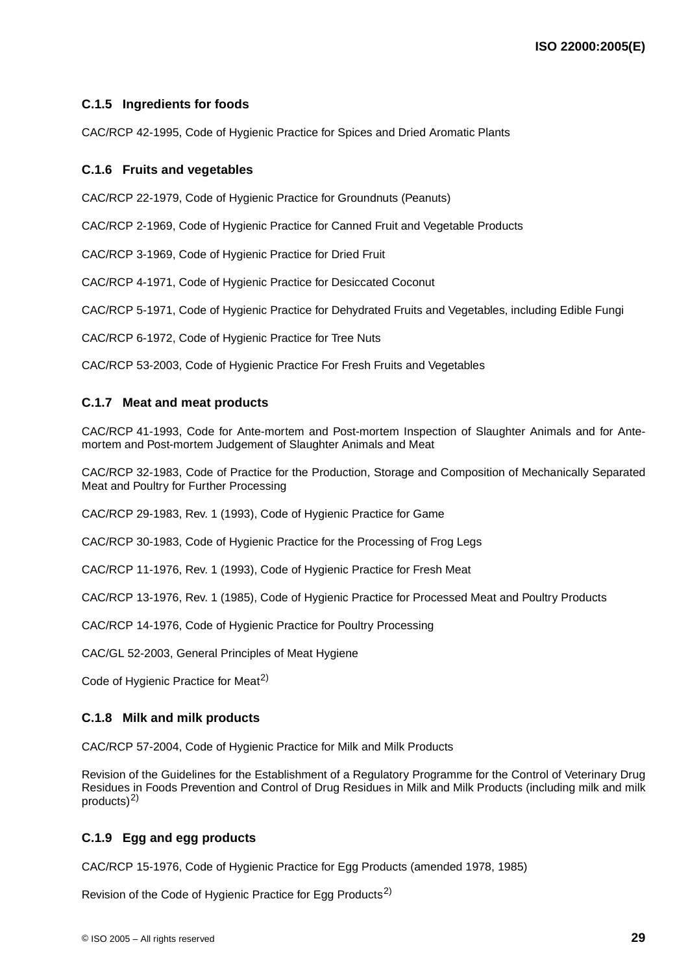## **C.1.5 Ingredients for foods**

CAC/RCP 42-1995, Code of Hygienic Practice for Spices and Dried Aromatic Plants

#### **C.1.6 Fruits and vegetables**

CAC/RCP 22-1979, Code of Hygienic Practice for Groundnuts (Peanuts)

CAC/RCP 2-1969, Code of Hygienic Practice for Canned Fruit and Vegetable Products

CAC/RCP 3-1969, Code of Hygienic Practice for Dried Fruit

CAC/RCP 4-1971, Code of Hygienic Practice for Desiccated Coconut

CAC/RCP 5-1971, Code of Hygienic Practice for Dehydrated Fruits and Vegetables, including Edible Fungi

CAC/RCP 6-1972, Code of Hygienic Practice for Tree Nuts

CAC/RCP 53-2003, Code of Hygienic Practice For Fresh Fruits and Vegetables

#### **C.1.7 Meat and meat products**

CAC/RCP 41-1993, Code for Ante-mortem and Post-mortem Inspection of Slaughter Animals and for Antemortem and Post-mortem Judgement of Slaughter Animals and Meat

CAC/RCP 32-1983, Code of Practice for the Production, Storage and Composition of Mechanically Separated Meat and Poultry for Further Processing

CAC/RCP 29-1983, Rev. 1 (1993), Code of Hygienic Practice for Game

CAC/RCP 30-1983, Code of Hygienic Practice for the Processing of Frog Legs

CAC/RCP 11-1976, Rev. 1 (1993), Code of Hygienic Practice for Fresh Meat

CAC/RCP 13-1976, Rev. 1 (1985), Code of Hygienic Practice for Processed Meat and Poultry Products

CAC/RCP 14-1976, Code of Hygienic Practice for Poultry Processing

CAC/GL 52-2003, General Principles of Meat Hygiene

Code of Hygienic Practice for Meat<sup>[2\)](#page-0-0)</sup>

#### **C.1.8 Milk and milk products**

CAC/RCP 57-2004, Code of Hygienic Practice for Milk and Milk Products

Revision of the Guidelines for the Establishment of a Regulatory Programme for the Control of Veterinary Drug Residues in Foods Prevention and Control of Drug Residues in Milk and Milk Products (including milk and milk products $)^{2)}$  $)^{2)}$  $)^{2)}$ 

#### **C.1.9 Egg and egg products**

CAC/RCP 15-1976, Code of Hygienic Practice for Egg Products (amended 1978, 1985)

Revision of the Code of Hygienic Practice for Egg Products<sup>[2\)](#page-0-0)</sup>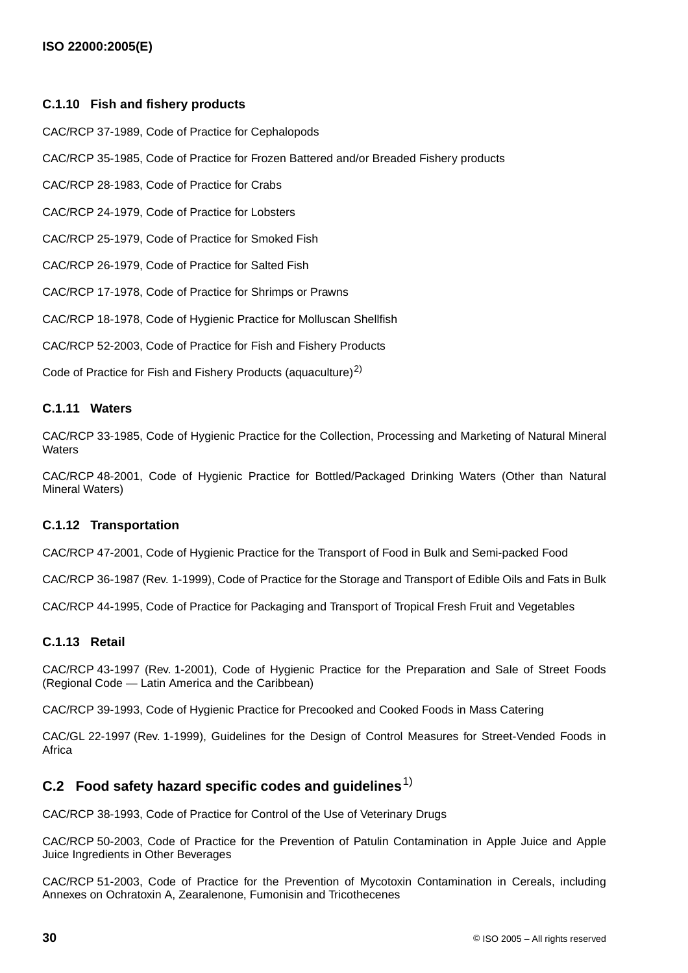### **C.1.10 Fish and fishery products**

CAC/RCP 37-1989, Code of Practice for Cephalopods

CAC/RCP 35-1985, Code of Practice for Frozen Battered and/or Breaded Fishery products

CAC/RCP 28-1983, Code of Practice for Crabs

CAC/RCP 24-1979, Code of Practice for Lobsters

CAC/RCP 25-1979, Code of Practice for Smoked Fish

CAC/RCP 26-1979, Code of Practice for Salted Fish

CAC/RCP 17-1978, Code of Practice for Shrimps or Prawns

CAC/RCP 18-1978, Code of Hygienic Practice for Molluscan Shellfish

CAC/RCP 52-2003, Code of Practice for Fish and Fishery Products

Code of Practice for Fish and Fishery Products (aquaculture)<sup>[2\)](#page-0-0)</sup>

#### **C.1.11 Waters**

CAC/RCP 33-1985, Code of Hygienic Practice for the Collection, Processing and Marketing of Natural Mineral **Waters** 

CAC/RCP 48-2001, Code of Hygienic Practice for Bottled/Packaged Drinking Waters (Other than Natural Mineral Waters)

#### **C.1.12 Transportation**

CAC/RCP 47-2001, Code of Hygienic Practice for the Transport of Food in Bulk and Semi-packed Food

CAC/RCP 36-1987 (Rev. 1-1999), Code of Practice for the Storage and Transport of Edible Oils and Fats in Bulk

CAC/RCP 44-1995, Code of Practice for Packaging and Transport of Tropical Fresh Fruit and Vegetables

#### **C.1.13 Retail**

CAC/RCP 43-1997 (Rev. 1-2001), Code of Hygienic Practice for the Preparation and Sale of Street Foods (Regional Code — Latin America and the Caribbean)

CAC/RCP 39-1993, Code of Hygienic Practice for Precooked and Cooked Foods in Mass Catering

CAC/GL 22-1997 (Rev. 1-1999), Guidelines for the Design of Control Measures for Street-Vended Foods in Africa

## **C.2 Food safety hazard specific codes and guidelines**[1\)](#page-0-1)

CAC/RCP 38-1993, Code of Practice for Control of the Use of Veterinary Drugs

CAC/RCP 50-2003, Code of Practice for the Prevention of Patulin Contamination in Apple Juice and Apple Juice Ingredients in Other Beverages

CAC/RCP 51-2003, Code of Practice for the Prevention of Mycotoxin Contamination in Cereals, including Annexes on Ochratoxin A, Zearalenone, Fumonisin and Tricothecenes